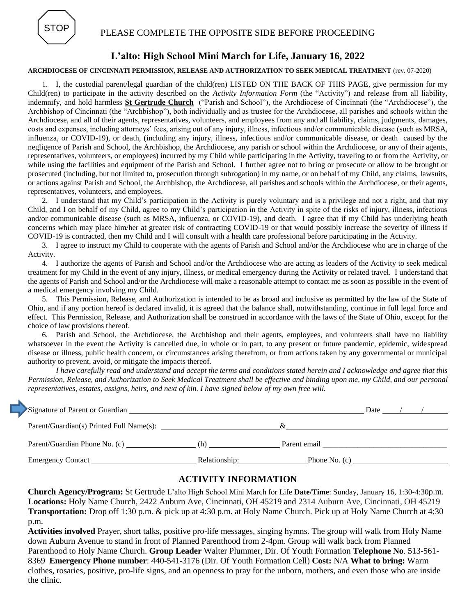

## PLEASE COMPLETE THE OPPOSITE SIDE BEFORE PROCEEDING

# **L'alto: High School Mini March for Life, January 16, 2022**

#### **ARCHDIOCESE OF CINCINNATI PERMISSION, RELEASE AND AUTHORIZATION TO SEEK MEDICAL TREATMENT** (rev. 07-2020)

1. I, the custodial parent/legal guardian of the child(ren) LISTED ON THE BACK OF THIS PAGE, give permission for my Child(ren) to participate in the activity described on the *Activity Information Form* (the "Activity") and release from all liability, indemnify, and hold harmless **St Gertrude Church** ("Parish and School"), the Archdiocese of Cincinnati (the "Archdiocese"), the Archbishop of Cincinnati (the "Archbishop"), both individually and as trustee for the Archdiocese, all parishes and schools within the Archdiocese, and all of their agents, representatives, volunteers, and employees from any and all liability, claims, judgments, damages, costs and expenses, including attorneys' fees, arising out of any injury, illness, infectious and/or communicable disease (such as MRSA, influenza, or COVID-19), or death, (including any injury, illness, infectious and/or communicable disease, or death caused by the negligence of Parish and School, the Archbishop, the Archdiocese, any parish or school within the Archdiocese, or any of their agents, representatives, volunteers, or employees) incurred by my Child while participating in the Activity, traveling to or from the Activity, or while using the facilities and equipment of the Parish and School. I further agree not to bring or prosecute or allow to be brought or prosecuted (including, but not limited to, prosecution through subrogation) in my name, or on behalf of my Child, any claims, lawsuits, or actions against Parish and School, the Archbishop, the Archdiocese, all parishes and schools within the Archdiocese, or their agents, representatives, volunteers, and employees.

2. I understand that my Child's participation in the Activity is purely voluntary and is a privilege and not a right, and that my Child, and I on behalf of my Child, agree to my Child's participation in the Activity in spite of the risks of injury, illness, infectious and/or communicable disease (such as MRSA, influenza, or COVID-19), and death. I agree that if my Child has underlying heath concerns which may place him/her at greater risk of contracting COVID-19 or that would possibly increase the severity of illness if COVID-19 is contracted, then my Child and I will consult with a health care professional before participating in the Activity.

3. I agree to instruct my Child to cooperate with the agents of Parish and School and/or the Archdiocese who are in charge of the Activity.

4. I authorize the agents of Parish and School and/or the Archdiocese who are acting as leaders of the Activity to seek medical treatment for my Child in the event of any injury, illness, or medical emergency during the Activity or related travel. I understand that the agents of Parish and School and/or the Archdiocese will make a reasonable attempt to contact me as soon as possible in the event of a medical emergency involving my Child.

5. This Permission, Release, and Authorization is intended to be as broad and inclusive as permitted by the law of the State of Ohio, and if any portion hereof is declared invalid, it is agreed that the balance shall, notwithstanding, continue in full legal force and effect. This Permission, Release, and Authorization shall be construed in accordance with the laws of the State of Ohio, except for the choice of law provisions thereof.

6. Parish and School, the Archdiocese, the Archbishop and their agents, employees, and volunteers shall have no liability whatsoever in the event the Activity is cancelled due, in whole or in part, to any present or future pandemic, epidemic, widespread disease or illness, public health concern, or circumstances arising therefrom, or from actions taken by any governmental or municipal authority to prevent, avoid, or mitigate the impacts thereof.

*I have carefully read and understand and accept the terms and conditions stated herein and I acknowledge and agree that this Permission, Release, and Authorization to Seek Medical Treatment shall be effective and binding upon me, my Child, and our personal representatives, estates, assigns, heirs, and next of kin. I have signed below of my own free will.*

| Signature of Parent or Guardian          |               |                 |  |  |  |
|------------------------------------------|---------------|-----------------|--|--|--|
| Parent/Guardian(s) Printed Full Name(s): |               |                 |  |  |  |
| Parent/Guardian Phone No. (c)            | (h)           | Parent email    |  |  |  |
| Emergency Contact                        | Relationship: | Phone No. $(c)$ |  |  |  |

### **ACTIVITY INFORMATION**

**Church Agency/Program:** St Gertrude L'alto High School Mini March for Life **Date/Time**: Sunday, January 16, 1:30-4:30p.m. **Locations:** Holy Name Church, 2422 Auburn Ave, Cincinnati, OH 45219 and 2314 Auburn Ave, Cincinnati, OH 45219 **Transportation:** Drop off 1:30 p.m. & pick up at 4:30 p.m. at Holy Name Church. Pick up at Holy Name Church at 4:30 p.m.

**Activities involved** Prayer, short talks, positive pro-life messages, singing hymns. The group will walk from Holy Name down Auburn Avenue to stand in front of Planned Parenthood from 2-4pm. Group will walk back from Planned Parenthood to Holy Name Church. **Group Leader** Walter Plummer, Dir. Of Youth Formation **Telephone No**. 513-561- 8369 **Emergency Phone number**: 440-541-3176 (Dir. Of Youth Formation Cell) **Cost:** N/A **What to bring:** Warm clothes, rosaries, positive, pro-life signs, and an openness to pray for the unborn, mothers, and even those who are inside the clinic.